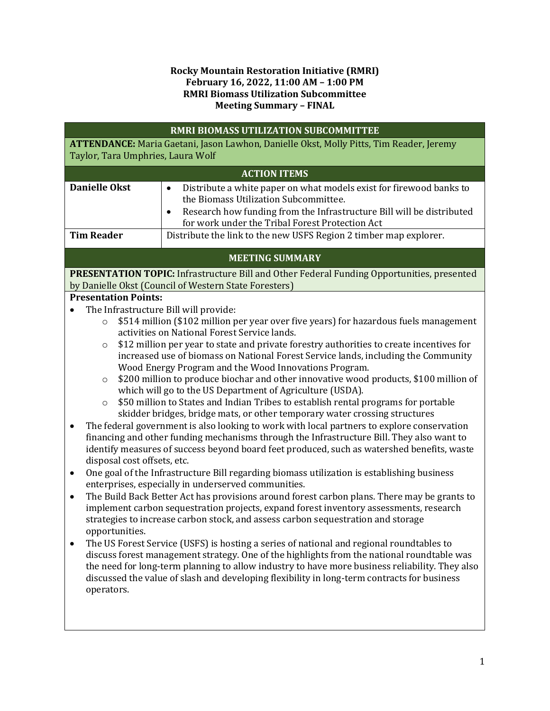## **Rocky Mountain Restoration Initiative (RMRI) February 16, 2022, 11:00 AM – 1:00 PM RMRI Biomass Utilization Subcommittee Meeting Summary – FINAL**

| <b>RMRI BIOMASS UTILIZATION SUBCOMMITTEE</b>                                                                                           |                                                                                                                                                                                                                                                                                                                                                                                                                                                                                                                                                                                                                                                                                                                                                                                                                                                                                                                                                                                                                                                                                                                                                                                                                                                                                                                                                                                                                                                                                                                                                                                                                                                                                                                                                                                                                                  |  |  |  |  |
|----------------------------------------------------------------------------------------------------------------------------------------|----------------------------------------------------------------------------------------------------------------------------------------------------------------------------------------------------------------------------------------------------------------------------------------------------------------------------------------------------------------------------------------------------------------------------------------------------------------------------------------------------------------------------------------------------------------------------------------------------------------------------------------------------------------------------------------------------------------------------------------------------------------------------------------------------------------------------------------------------------------------------------------------------------------------------------------------------------------------------------------------------------------------------------------------------------------------------------------------------------------------------------------------------------------------------------------------------------------------------------------------------------------------------------------------------------------------------------------------------------------------------------------------------------------------------------------------------------------------------------------------------------------------------------------------------------------------------------------------------------------------------------------------------------------------------------------------------------------------------------------------------------------------------------------------------------------------------------|--|--|--|--|
| ATTENDANCE: Maria Gaetani, Jason Lawhon, Danielle Okst, Molly Pitts, Tim Reader, Jeremy                                                |                                                                                                                                                                                                                                                                                                                                                                                                                                                                                                                                                                                                                                                                                                                                                                                                                                                                                                                                                                                                                                                                                                                                                                                                                                                                                                                                                                                                                                                                                                                                                                                                                                                                                                                                                                                                                                  |  |  |  |  |
| Taylor, Tara Umphries, Laura Wolf                                                                                                      |                                                                                                                                                                                                                                                                                                                                                                                                                                                                                                                                                                                                                                                                                                                                                                                                                                                                                                                                                                                                                                                                                                                                                                                                                                                                                                                                                                                                                                                                                                                                                                                                                                                                                                                                                                                                                                  |  |  |  |  |
|                                                                                                                                        | <b>ACTION ITEMS</b>                                                                                                                                                                                                                                                                                                                                                                                                                                                                                                                                                                                                                                                                                                                                                                                                                                                                                                                                                                                                                                                                                                                                                                                                                                                                                                                                                                                                                                                                                                                                                                                                                                                                                                                                                                                                              |  |  |  |  |
| <b>Danielle Okst</b>                                                                                                                   | Distribute a white paper on what models exist for firewood banks to<br>$\bullet$<br>the Biomass Utilization Subcommittee.<br>Research how funding from the Infrastructure Bill will be distributed<br>$\bullet$<br>for work under the Tribal Forest Protection Act                                                                                                                                                                                                                                                                                                                                                                                                                                                                                                                                                                                                                                                                                                                                                                                                                                                                                                                                                                                                                                                                                                                                                                                                                                                                                                                                                                                                                                                                                                                                                               |  |  |  |  |
| <b>Tim Reader</b>                                                                                                                      | Distribute the link to the new USFS Region 2 timber map explorer.                                                                                                                                                                                                                                                                                                                                                                                                                                                                                                                                                                                                                                                                                                                                                                                                                                                                                                                                                                                                                                                                                                                                                                                                                                                                                                                                                                                                                                                                                                                                                                                                                                                                                                                                                                |  |  |  |  |
| <b>MEETING SUMMARY</b>                                                                                                                 |                                                                                                                                                                                                                                                                                                                                                                                                                                                                                                                                                                                                                                                                                                                                                                                                                                                                                                                                                                                                                                                                                                                                                                                                                                                                                                                                                                                                                                                                                                                                                                                                                                                                                                                                                                                                                                  |  |  |  |  |
|                                                                                                                                        | PRESENTATION TOPIC: Infrastructure Bill and Other Federal Funding Opportunities, presented                                                                                                                                                                                                                                                                                                                                                                                                                                                                                                                                                                                                                                                                                                                                                                                                                                                                                                                                                                                                                                                                                                                                                                                                                                                                                                                                                                                                                                                                                                                                                                                                                                                                                                                                       |  |  |  |  |
| <b>Presentation Points:</b>                                                                                                            | by Danielle Okst (Council of Western State Foresters)                                                                                                                                                                                                                                                                                                                                                                                                                                                                                                                                                                                                                                                                                                                                                                                                                                                                                                                                                                                                                                                                                                                                                                                                                                                                                                                                                                                                                                                                                                                                                                                                                                                                                                                                                                            |  |  |  |  |
| $\bullet$                                                                                                                              | The Infrastructure Bill will provide:                                                                                                                                                                                                                                                                                                                                                                                                                                                                                                                                                                                                                                                                                                                                                                                                                                                                                                                                                                                                                                                                                                                                                                                                                                                                                                                                                                                                                                                                                                                                                                                                                                                                                                                                                                                            |  |  |  |  |
| $\circ$<br>$\circ$<br>$\circ$<br>$\circ$<br>$\bullet$<br>disposal cost offsets, etc.<br>$\bullet$<br>٠<br>opportunities.<br>operators. | \$514 million (\$102 million per year over five years) for hazardous fuels management<br>activities on National Forest Service lands.<br>\$12 million per year to state and private forestry authorities to create incentives for<br>increased use of biomass on National Forest Service lands, including the Community<br>Wood Energy Program and the Wood Innovations Program.<br>\$200 million to produce biochar and other innovative wood products, \$100 million of<br>which will go to the US Department of Agriculture (USDA).<br>\$50 million to States and Indian Tribes to establish rental programs for portable<br>skidder bridges, bridge mats, or other temporary water crossing structures<br>The federal government is also looking to work with local partners to explore conservation<br>financing and other funding mechanisms through the Infrastructure Bill. They also want to<br>identify measures of success beyond board feet produced, such as watershed benefits, waste<br>One goal of the Infrastructure Bill regarding biomass utilization is establishing business<br>enterprises, especially in underserved communities.<br>The Build Back Better Act has provisions around forest carbon plans. There may be grants to<br>implement carbon sequestration projects, expand forest inventory assessments, research<br>strategies to increase carbon stock, and assess carbon sequestration and storage<br>The US Forest Service (USFS) is hosting a series of national and regional roundtables to<br>discuss forest management strategy. One of the highlights from the national roundtable was<br>the need for long-term planning to allow industry to have more business reliability. They also<br>discussed the value of slash and developing flexibility in long-term contracts for business |  |  |  |  |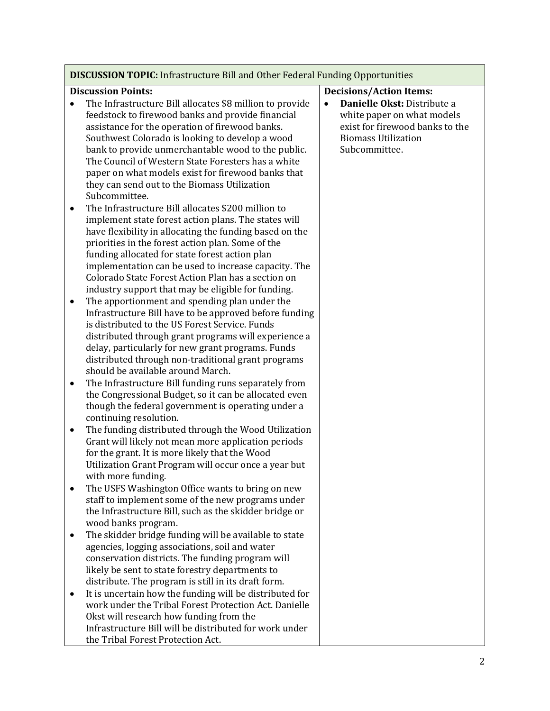| <b>DISCUSSION TOPIC:</b> Infrastructure Bill and Other Federal Funding Opportunities |                                                                                                                                                                                                                                                                                                                                                                                                                                                                                                   |                                                                                                                                                          |  |  |
|--------------------------------------------------------------------------------------|---------------------------------------------------------------------------------------------------------------------------------------------------------------------------------------------------------------------------------------------------------------------------------------------------------------------------------------------------------------------------------------------------------------------------------------------------------------------------------------------------|----------------------------------------------------------------------------------------------------------------------------------------------------------|--|--|
|                                                                                      | <b>Discussion Points:</b>                                                                                                                                                                                                                                                                                                                                                                                                                                                                         | <b>Decisions/Action Items:</b>                                                                                                                           |  |  |
|                                                                                      | The Infrastructure Bill allocates \$8 million to provide<br>feedstock to firewood banks and provide financial<br>assistance for the operation of firewood banks.<br>Southwest Colorado is looking to develop a wood<br>bank to provide unmerchantable wood to the public.<br>The Council of Western State Foresters has a white<br>paper on what models exist for firewood banks that<br>they can send out to the Biomass Utilization<br>Subcommittee.                                            | Danielle Okst: Distribute a<br>$\bullet$<br>white paper on what models<br>exist for firewood banks to the<br><b>Biomass Utilization</b><br>Subcommittee. |  |  |
| $\bullet$<br>$\bullet$                                                               | The Infrastructure Bill allocates \$200 million to<br>implement state forest action plans. The states will<br>have flexibility in allocating the funding based on the<br>priorities in the forest action plan. Some of the<br>funding allocated for state forest action plan<br>implementation can be used to increase capacity. The<br>Colorado State Forest Action Plan has a section on<br>industry support that may be eligible for funding.<br>The apportionment and spending plan under the |                                                                                                                                                          |  |  |
| ٠                                                                                    | Infrastructure Bill have to be approved before funding<br>is distributed to the US Forest Service. Funds<br>distributed through grant programs will experience a<br>delay, particularly for new grant programs. Funds<br>distributed through non-traditional grant programs<br>should be available around March.<br>The Infrastructure Bill funding runs separately from                                                                                                                          |                                                                                                                                                          |  |  |
|                                                                                      | the Congressional Budget, so it can be allocated even<br>though the federal government is operating under a<br>continuing resolution.                                                                                                                                                                                                                                                                                                                                                             |                                                                                                                                                          |  |  |
| $\bullet$                                                                            | The funding distributed through the Wood Utilization<br>Grant will likely not mean more application periods<br>for the grant. It is more likely that the Wood<br>Utilization Grant Program will occur once a year but<br>with more funding.                                                                                                                                                                                                                                                       |                                                                                                                                                          |  |  |
|                                                                                      | The USFS Washington Office wants to bring on new<br>staff to implement some of the new programs under<br>the Infrastructure Bill, such as the skidder bridge or<br>wood banks program.                                                                                                                                                                                                                                                                                                            |                                                                                                                                                          |  |  |
|                                                                                      | The skidder bridge funding will be available to state<br>agencies, logging associations, soil and water<br>conservation districts. The funding program will<br>likely be sent to state forestry departments to<br>distribute. The program is still in its draft form.                                                                                                                                                                                                                             |                                                                                                                                                          |  |  |
|                                                                                      | It is uncertain how the funding will be distributed for<br>work under the Tribal Forest Protection Act. Danielle<br>Okst will research how funding from the<br>Infrastructure Bill will be distributed for work under<br>the Tribal Forest Protection Act.                                                                                                                                                                                                                                        |                                                                                                                                                          |  |  |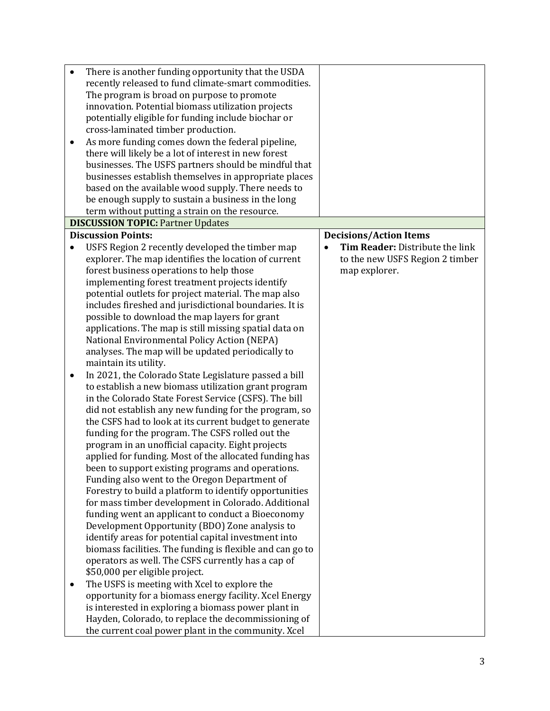| $\bullet$ | There is another funding opportunity that the USDA                                                            |                                 |
|-----------|---------------------------------------------------------------------------------------------------------------|---------------------------------|
|           | recently released to fund climate-smart commodities.                                                          |                                 |
|           | The program is broad on purpose to promote                                                                    |                                 |
|           | innovation. Potential biomass utilization projects                                                            |                                 |
|           | potentially eligible for funding include biochar or                                                           |                                 |
|           | cross-laminated timber production.                                                                            |                                 |
| $\bullet$ | As more funding comes down the federal pipeline,                                                              |                                 |
|           | there will likely be a lot of interest in new forest                                                          |                                 |
|           | businesses. The USFS partners should be mindful that                                                          |                                 |
|           | businesses establish themselves in appropriate places                                                         |                                 |
|           | based on the available wood supply. There needs to                                                            |                                 |
|           | be enough supply to sustain a business in the long                                                            |                                 |
|           | term without putting a strain on the resource.                                                                |                                 |
|           | <b>DISCUSSION TOPIC: Partner Updates</b>                                                                      |                                 |
|           | <b>Discussion Points:</b>                                                                                     | <b>Decisions/Action Items</b>   |
|           |                                                                                                               | Tim Reader: Distribute the link |
| $\bullet$ | USFS Region 2 recently developed the timber map                                                               |                                 |
|           | explorer. The map identifies the location of current                                                          | to the new USFS Region 2 timber |
|           | forest business operations to help those                                                                      | map explorer.                   |
|           | implementing forest treatment projects identify                                                               |                                 |
|           | potential outlets for project material. The map also                                                          |                                 |
|           | includes fireshed and jurisdictional boundaries. It is                                                        |                                 |
|           | possible to download the map layers for grant                                                                 |                                 |
|           | applications. The map is still missing spatial data on                                                        |                                 |
|           | National Environmental Policy Action (NEPA)                                                                   |                                 |
|           | analyses. The map will be updated periodically to                                                             |                                 |
|           | maintain its utility.                                                                                         |                                 |
| $\bullet$ | In 2021, the Colorado State Legislature passed a bill                                                         |                                 |
|           | to establish a new biomass utilization grant program                                                          |                                 |
|           | in the Colorado State Forest Service (CSFS). The bill                                                         |                                 |
|           | did not establish any new funding for the program, so                                                         |                                 |
|           | the CSFS had to look at its current budget to generate<br>funding for the program. The CSFS rolled out the    |                                 |
|           |                                                                                                               |                                 |
|           | program in an unofficial capacity. Eight projects<br>applied for funding. Most of the allocated funding has   |                                 |
|           | been to support existing programs and operations.                                                             |                                 |
|           | Funding also went to the Oregon Department of                                                                 |                                 |
|           | Forestry to build a platform to identify opportunities                                                        |                                 |
|           | for mass timber development in Colorado. Additional                                                           |                                 |
|           | funding went an applicant to conduct a Bioeconomy                                                             |                                 |
|           | Development Opportunity (BDO) Zone analysis to                                                                |                                 |
|           | identify areas for potential capital investment into                                                          |                                 |
|           | biomass facilities. The funding is flexible and can go to                                                     |                                 |
|           | operators as well. The CSFS currently has a cap of                                                            |                                 |
|           | \$50,000 per eligible project.                                                                                |                                 |
|           |                                                                                                               |                                 |
|           | The USFS is meeting with Xcel to explore the                                                                  |                                 |
|           | opportunity for a biomass energy facility. Xcel Energy<br>is interested in exploring a biomass power plant in |                                 |
|           | Hayden, Colorado, to replace the decommissioning of                                                           |                                 |
|           |                                                                                                               |                                 |
|           | the current coal power plant in the community. Xcel                                                           |                                 |